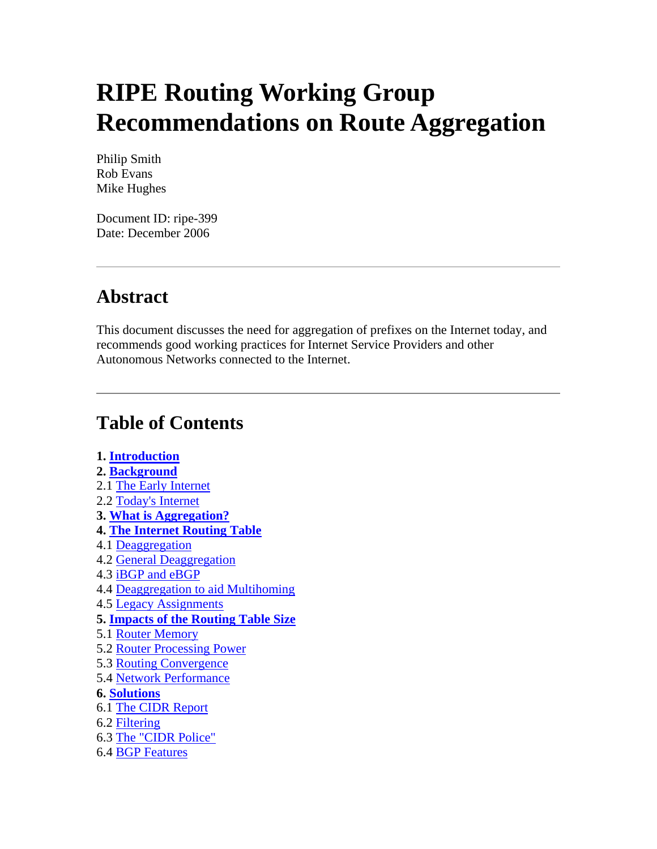# **RIPE Routing Working Group Recommendations on Route Aggregation**

Philip Smith Rob Evans Mike Hughes

Document ID: ripe-399 Date: December 2006

# **Abstract**

This document discusses the need for aggregation of prefixes on the Internet today, and recommends good working practices for Internet Service Providers and other Autonomous Networks connected to the Internet.

# **Table of Contents**

#### **1. [Introduction](http://test-www.ripe.net/docs/ripe-399.html#1#1) 2. [Background](http://test-www.ripe.net/docs/ripe-399.html#2#2)** 2.1 [The Early Internet](http://test-www.ripe.net/docs/ripe-399.html#21#21) 2.2 [Today's Internet](http://test-www.ripe.net/docs/ripe-399.html#22#22) **3. [What is Aggregation?](http://test-www.ripe.net/docs/ripe-399.html#3#3) 4. [The Internet Routing Table](http://test-www.ripe.net/docs/ripe-399.html#4#4)** 4.1 [Deaggregation](http://test-www.ripe.net/docs/ripe-399.html#41#41) 4.2 [General Deaggregation](http://test-www.ripe.net/docs/ripe-399.html#42#42) 4.3 [iBGP and eBGP](http://test-www.ripe.net/docs/ripe-399.html#43#43) 4.4 [Deaggregation to aid Multihoming](http://test-www.ripe.net/docs/ripe-399.html#44#44) 4.5 [Legacy Assignments](http://test-www.ripe.net/docs/ripe-399.html#45#45) **5. [Impacts of the Routing Table Size](http://test-www.ripe.net/docs/ripe-399.html#5#5)** 5.1 [Router Memory](http://test-www.ripe.net/docs/ripe-399.html#51#51) 5.2 [Router Processing Power](http://test-www.ripe.net/docs/ripe-399.html#52#52) 5.3 [Routing Convergence](http://test-www.ripe.net/docs/ripe-399.html#53#53) 5.4 [Network Performance](http://test-www.ripe.net/docs/ripe-399.html#54#54) **6. [Solutions](http://test-www.ripe.net/docs/ripe-399.html#6#6)** 6.1 [The CIDR Report](http://test-www.ripe.net/docs/ripe-399.html#61#61) 6.2 [Filtering](http://test-www.ripe.net/docs/ripe-399.html#62#62) 6.3 [The "CIDR Police"](http://test-www.ripe.net/docs/ripe-399.html#63#63) 6.4 [BGP Features](http://test-www.ripe.net/docs/ripe-399.html#64#64)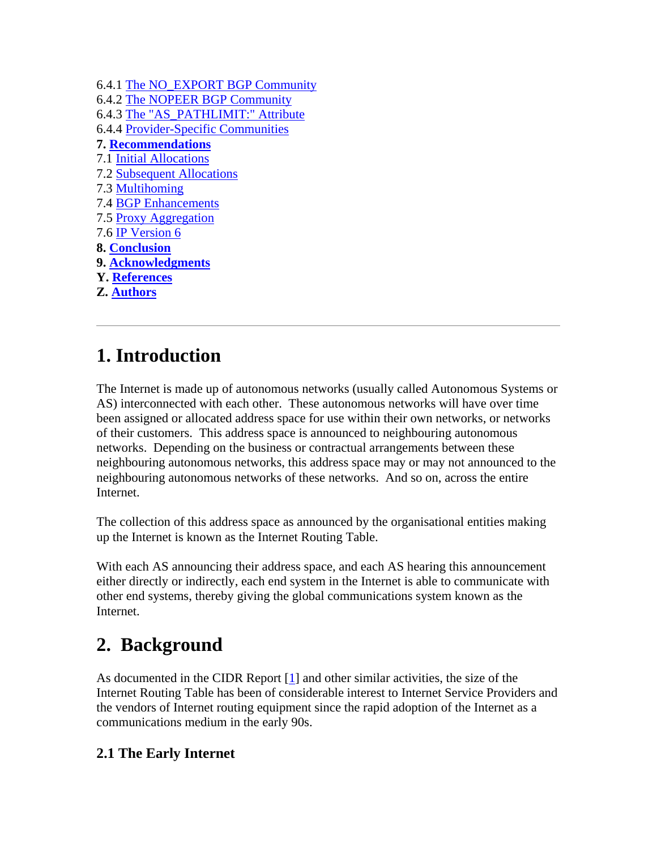| 6.4.1 The NO_EXPORT BGP Community          |
|--------------------------------------------|
| 6.4.2 The NOPEER BGP Community             |
| 6.4.3 The "AS PATHLIMIT:" Attribute        |
| <b>6.4.4 Provider-Specific Communities</b> |
| <b>7. Recommendations</b>                  |
| <b>7.1 Initial Allocations</b>             |
| <b>7.2 Subsequent Allocations</b>          |
| 7.3 Multihoming                            |
| <b>7.4 BGP Enhancements</b>                |
| 7.5 Proxy Aggregation                      |
| 7.6 IP Version 6                           |
| <b>8. Conclusion</b>                       |
| 9. Acknowledgments                         |
| <b>Y.</b> References                       |
| <b>Z. Authors</b>                          |
|                                            |

# **1. Introduction**

The Internet is made up of autonomous networks (usually called Autonomous Systems or AS) interconnected with each other. These autonomous networks will have over time been assigned or allocated address space for use within their own networks, or networks of their customers. This address space is announced to neighbouring autonomous networks. Depending on the business or contractual arrangements between these neighbouring autonomous networks, this address space may or may not announced to the neighbouring autonomous networks of these networks. And so on, across the entire Internet.

The collection of this address space as announced by the organisational entities making up the Internet is known as the Internet Routing Table.

With each AS announcing their address space, and each AS hearing this announcement either directly or indirectly, each end system in the Internet is able to communicate with other end systems, thereby giving the global communications system known as the Internet.

# **2. Background**

As documented in the CIDR Report [\[1](http://test-www.ripe.net/docs/ripe-399.html#Y1#Y1)] and other similar activities, the size of the Internet Routing Table has been of considerable interest to Internet Service Providers and the vendors of Internet routing equipment since the rapid adoption of the Internet as a communications medium in the early 90s.

# **2.1 The Early Internet**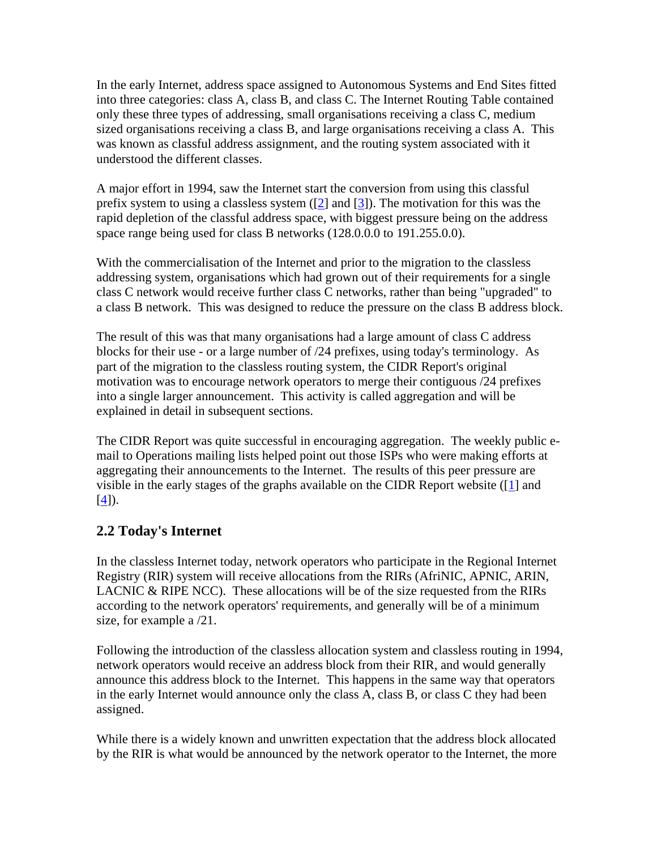In the early Internet, address space assigned to Autonomous Systems and End Sites fitted into three categories: class A, class B, and class C. The Internet Routing Table contained only these three types of addressing, small organisations receiving a class C, medium sized organisations receiving a class B, and large organisations receiving a class A. This was known as classful address assignment, and the routing system associated with it understood the different classes.

A major effort in 1994, saw the Internet start the conversion from using this classful prefix system to using a classless system  $(2]$  and  $[3]$  $[3]$ ). The motivation for this was the rapid depletion of the classful address space, with biggest pressure being on the address space range being used for class B networks (128.0.0.0 to 191.255.0.0).

With the commercialisation of the Internet and prior to the migration to the classless addressing system, organisations which had grown out of their requirements for a single class C network would receive further class C networks, rather than being "upgraded" to a class B network. This was designed to reduce the pressure on the class B address block.

The result of this was that many organisations had a large amount of class C address blocks for their use - or a large number of /24 prefixes, using today's terminology. As part of the migration to the classless routing system, the CIDR Report's original motivation was to encourage network operators to merge their contiguous /24 prefixes into a single larger announcement. This activity is called aggregation and will be explained in detail in subsequent sections.

The CIDR Report was quite successful in encouraging aggregation. The weekly public email to Operations mailing lists helped point out those ISPs who were making efforts at aggregating their announcements to the Internet. The results of this peer pressure are visible in the early stages of the graphs available on the CIDR Report website ([[1\]](http://test-www.ripe.net/docs/ripe-399.html#Y1#Y1) and  $[4]$  $[4]$ ).

#### **2.2 Today's Internet**

In the classless Internet today, network operators who participate in the Regional Internet Registry (RIR) system will receive allocations from the RIRs (AfriNIC, APNIC, ARIN, LACNIC & RIPE NCC). These allocations will be of the size requested from the RIRs according to the network operators' requirements, and generally will be of a minimum size, for example a /21.

Following the introduction of the classless allocation system and classless routing in 1994, network operators would receive an address block from their RIR, and would generally announce this address block to the Internet. This happens in the same way that operators in the early Internet would announce only the class A, class B, or class C they had been assigned.

While there is a widely known and unwritten expectation that the address block allocated by the RIR is what would be announced by the network operator to the Internet, the more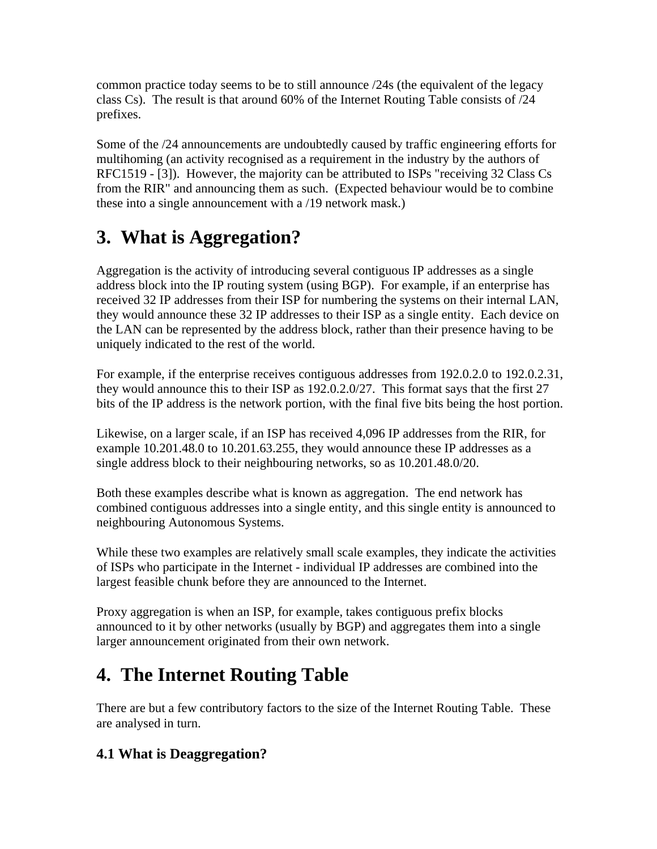common practice today seems to be to still announce /24s (the equivalent of the legacy class Cs). The result is that around 60% of the Internet Routing Table consists of /24 prefixes.

Some of the /24 announcements are undoubtedly caused by traffic engineering efforts for multihoming (an activity recognised as a requirement in the industry by the authors of RFC1519 - [3]). However, the majority can be attributed to ISPs "receiving 32 Class Cs from the RIR" and announcing them as such. (Expected behaviour would be to combine these into a single announcement with a /19 network mask.)

# **3. What is Aggregation?**

Aggregation is the activity of introducing several contiguous IP addresses as a single address block into the IP routing system (using BGP). For example, if an enterprise has received 32 IP addresses from their ISP for numbering the systems on their internal LAN, they would announce these 32 IP addresses to their ISP as a single entity. Each device on the LAN can be represented by the address block, rather than their presence having to be uniquely indicated to the rest of the world.

For example, if the enterprise receives contiguous addresses from 192.0.2.0 to 192.0.2.31, they would announce this to their ISP as 192.0.2.0/27. This format says that the first 27 bits of the IP address is the network portion, with the final five bits being the host portion.

Likewise, on a larger scale, if an ISP has received 4,096 IP addresses from the RIR, for example 10.201.48.0 to 10.201.63.255, they would announce these IP addresses as a single address block to their neighbouring networks, so as 10.201.48.0/20.

Both these examples describe what is known as aggregation. The end network has combined contiguous addresses into a single entity, and this single entity is announced to neighbouring Autonomous Systems.

While these two examples are relatively small scale examples, they indicate the activities of ISPs who participate in the Internet - individual IP addresses are combined into the largest feasible chunk before they are announced to the Internet.

Proxy aggregation is when an ISP, for example, takes contiguous prefix blocks announced to it by other networks (usually by BGP) and aggregates them into a single larger announcement originated from their own network.

# **4. The Internet Routing Table**

There are but a few contributory factors to the size of the Internet Routing Table. These are analysed in turn.

# **4.1 What is Deaggregation?**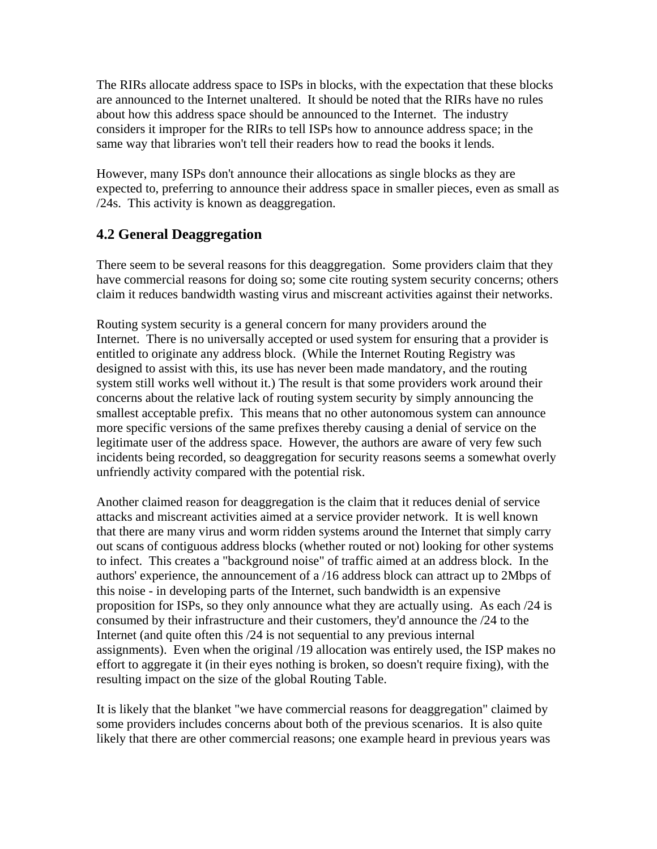The RIRs allocate address space to ISPs in blocks, with the expectation that these blocks are announced to the Internet unaltered. It should be noted that the RIRs have no rules about how this address space should be announced to the Internet. The industry considers it improper for the RIRs to tell ISPs how to announce address space; in the same way that libraries won't tell their readers how to read the books it lends.

However, many ISPs don't announce their allocations as single blocks as they are expected to, preferring to announce their address space in smaller pieces, even as small as /24s. This activity is known as deaggregation.

#### **4.2 General Deaggregation**

There seem to be several reasons for this deaggregation. Some providers claim that they have commercial reasons for doing so; some cite routing system security concerns; others claim it reduces bandwidth wasting virus and miscreant activities against their networks.

Routing system security is a general concern for many providers around the Internet. There is no universally accepted or used system for ensuring that a provider is entitled to originate any address block. (While the Internet Routing Registry was designed to assist with this, its use has never been made mandatory, and the routing system still works well without it.) The result is that some providers work around their concerns about the relative lack of routing system security by simply announcing the smallest acceptable prefix. This means that no other autonomous system can announce more specific versions of the same prefixes thereby causing a denial of service on the legitimate user of the address space. However, the authors are aware of very few such incidents being recorded, so deaggregation for security reasons seems a somewhat overly unfriendly activity compared with the potential risk.

Another claimed reason for deaggregation is the claim that it reduces denial of service attacks and miscreant activities aimed at a service provider network. It is well known that there are many virus and worm ridden systems around the Internet that simply carry out scans of contiguous address blocks (whether routed or not) looking for other systems to infect. This creates a "background noise" of traffic aimed at an address block. In the authors' experience, the announcement of a /16 address block can attract up to 2Mbps of this noise - in developing parts of the Internet, such bandwidth is an expensive proposition for ISPs, so they only announce what they are actually using. As each /24 is consumed by their infrastructure and their customers, they'd announce the /24 to the Internet (and quite often this /24 is not sequential to any previous internal assignments). Even when the original /19 allocation was entirely used, the ISP makes no effort to aggregate it (in their eyes nothing is broken, so doesn't require fixing), with the resulting impact on the size of the global Routing Table.

It is likely that the blanket "we have commercial reasons for deaggregation" claimed by some providers includes concerns about both of the previous scenarios. It is also quite likely that there are other commercial reasons; one example heard in previous years was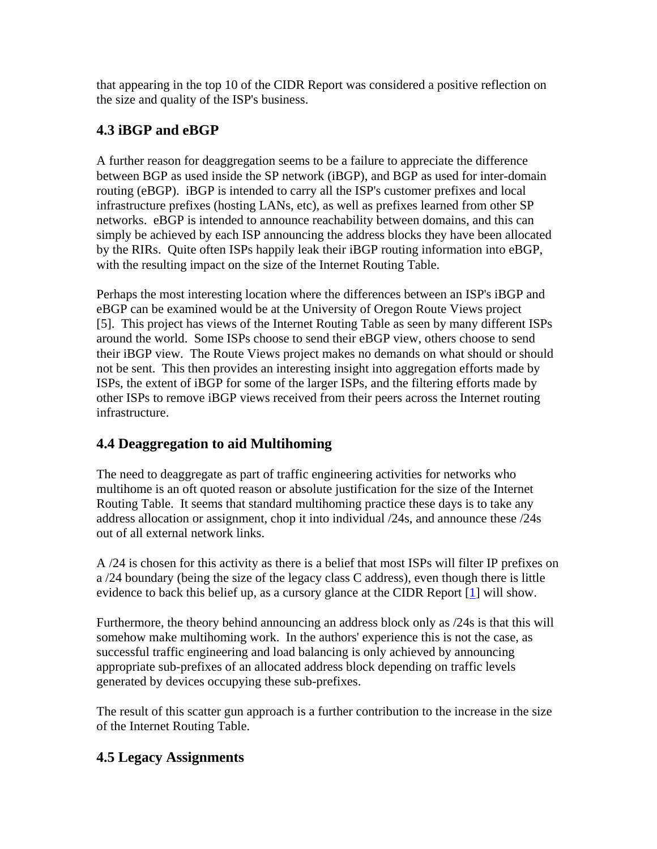that appearing in the top 10 of the CIDR Report was considered a positive reflection on the size and quality of the ISP's business.

## **4.3 iBGP and eBGP**

A further reason for deaggregation seems to be a failure to appreciate the difference between BGP as used inside the SP network (iBGP), and BGP as used for inter-domain routing (eBGP). iBGP is intended to carry all the ISP's customer prefixes and local infrastructure prefixes (hosting LANs, etc), as well as prefixes learned from other SP networks. eBGP is intended to announce reachability between domains, and this can simply be achieved by each ISP announcing the address blocks they have been allocated by the RIRs. Quite often ISPs happily leak their iBGP routing information into eBGP, with the resulting impact on the size of the Internet Routing Table.

Perhaps the most interesting location where the differences between an ISP's iBGP and eBGP can be examined would be at the University of Oregon Route Views project [5]. This project has views of the Internet Routing Table as seen by many different ISPs around the world. Some ISPs choose to send their eBGP view, others choose to send their iBGP view. The Route Views project makes no demands on what should or should not be sent. This then provides an interesting insight into aggregation efforts made by ISPs, the extent of iBGP for some of the larger ISPs, and the filtering efforts made by other ISPs to remove iBGP views received from their peers across the Internet routing infrastructure.

### **4.4 Deaggregation to aid Multihoming**

The need to deaggregate as part of traffic engineering activities for networks who multihome is an oft quoted reason or absolute justification for the size of the Internet Routing Table. It seems that standard multihoming practice these days is to take any address allocation or assignment, chop it into individual /24s, and announce these /24s out of all external network links.

A /24 is chosen for this activity as there is a belief that most ISPs will filter IP prefixes on a /24 boundary (being the size of the legacy class C address), even though there is little evidence to back this belief up, as a cursory glance at the CIDR Report [[1\]](http://test-www.ripe.net/docs/ripe-399.html#Y1#Y1) will show.

Furthermore, the theory behind announcing an address block only as /24s is that this will somehow make multihoming work. In the authors' experience this is not the case, as successful traffic engineering and load balancing is only achieved by announcing appropriate sub-prefixes of an allocated address block depending on traffic levels generated by devices occupying these sub-prefixes.

The result of this scatter gun approach is a further contribution to the increase in the size of the Internet Routing Table.

### **4.5 Legacy Assignments**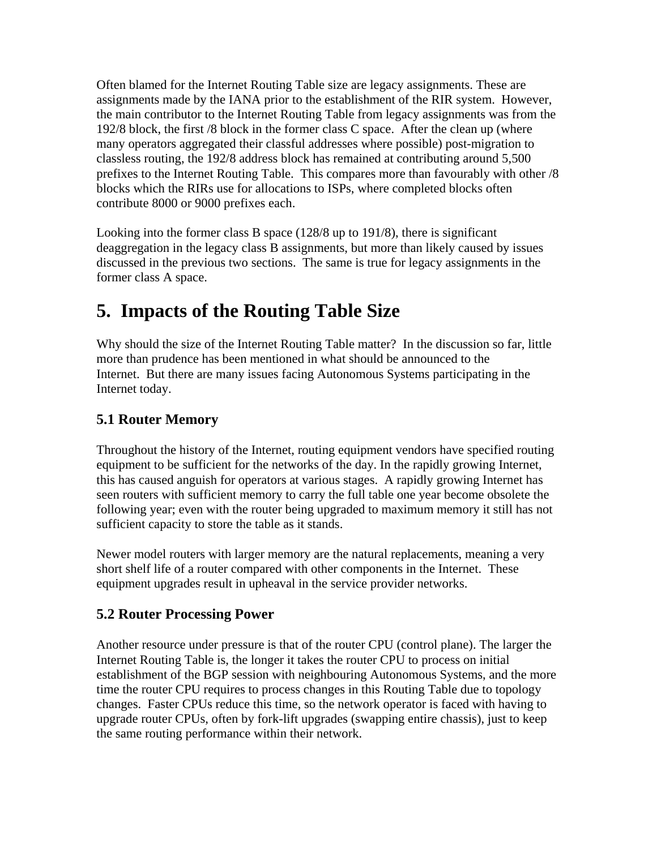Often blamed for the Internet Routing Table size are legacy assignments. These are assignments made by the IANA prior to the establishment of the RIR system. However, the main contributor to the Internet Routing Table from legacy assignments was from the 192/8 block, the first /8 block in the former class C space. After the clean up (where many operators aggregated their classful addresses where possible) post-migration to classless routing, the 192/8 address block has remained at contributing around 5,500 prefixes to the Internet Routing Table. This compares more than favourably with other /8 blocks which the RIRs use for allocations to ISPs, where completed blocks often contribute 8000 or 9000 prefixes each.

Looking into the former class B space (128/8 up to 191/8), there is significant deaggregation in the legacy class B assignments, but more than likely caused by issues discussed in the previous two sections. The same is true for legacy assignments in the former class A space.

# **5. Impacts of the Routing Table Size**

Why should the size of the Internet Routing Table matter? In the discussion so far, little more than prudence has been mentioned in what should be announced to the Internet. But there are many issues facing Autonomous Systems participating in the Internet today.

# **5.1 Router Memory**

Throughout the history of the Internet, routing equipment vendors have specified routing equipment to be sufficient for the networks of the day. In the rapidly growing Internet, this has caused anguish for operators at various stages. A rapidly growing Internet has seen routers with sufficient memory to carry the full table one year become obsolete the following year; even with the router being upgraded to maximum memory it still has not sufficient capacity to store the table as it stands.

Newer model routers with larger memory are the natural replacements, meaning a very short shelf life of a router compared with other components in the Internet. These equipment upgrades result in upheaval in the service provider networks.

### **5.2 Router Processing Power**

Another resource under pressure is that of the router CPU (control plane). The larger the Internet Routing Table is, the longer it takes the router CPU to process on initial establishment of the BGP session with neighbouring Autonomous Systems, and the more time the router CPU requires to process changes in this Routing Table due to topology changes. Faster CPUs reduce this time, so the network operator is faced with having to upgrade router CPUs, often by fork-lift upgrades (swapping entire chassis), just to keep the same routing performance within their network.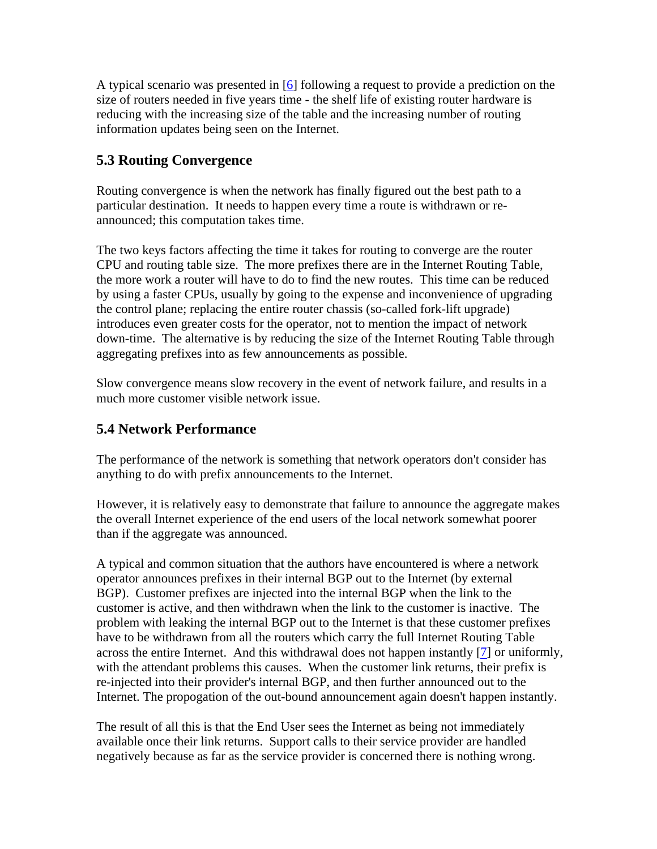A typical scenario was presented in [\[6](http://test-www.ripe.net/docs/ripe-399.html#Y6#Y6)] following a request to provide a prediction on the size of routers needed in five years time - the shelf life of existing router hardware is reducing with the increasing size of the table and the increasing number of routing information updates being seen on the Internet.

### **5.3 Routing Convergence**

Routing convergence is when the network has finally figured out the best path to a particular destination. It needs to happen every time a route is withdrawn or reannounced; this computation takes time.

The two keys factors affecting the time it takes for routing to converge are the router CPU and routing table size. The more prefixes there are in the Internet Routing Table, the more work a router will have to do to find the new routes. This time can be reduced by using a faster CPUs, usually by going to the expense and inconvenience of upgrading the control plane; replacing the entire router chassis (so-called fork-lift upgrade) introduces even greater costs for the operator, not to mention the impact of network down-time. The alternative is by reducing the size of the Internet Routing Table through aggregating prefixes into as few announcements as possible.

Slow convergence means slow recovery in the event of network failure, and results in a much more customer visible network issue.

## **5.4 Network Performance**

The performance of the network is something that network operators don't consider has anything to do with prefix announcements to the Internet.

However, it is relatively easy to demonstrate that failure to announce the aggregate makes the overall Internet experience of the end users of the local network somewhat poorer than if the aggregate was announced.

A typical and common situation that the authors have encountered is where a network operator announces prefixes in their internal BGP out to the Internet (by external BGP). Customer prefixes are injected into the internal BGP when the link to the customer is active, and then withdrawn when the link to the customer is inactive. The problem with leaking the internal BGP out to the Internet is that these customer prefixes have to be withdrawn from all the routers which carry the full Internet Routing Table across the entire Internet. And this withdrawal does not happen instantly [\[7\]](http://test-www.ripe.net/docs/ripe-399.html#Y7#Y7) or uniformly, with the attendant problems this causes. When the customer link returns, their prefix is re-injected into their provider's internal BGP, and then further announced out to the Internet. The propogation of the out-bound announcement again doesn't happen instantly.

The result of all this is that the End User sees the Internet as being not immediately available once their link returns. Support calls to their service provider are handled negatively because as far as the service provider is concerned there is nothing wrong.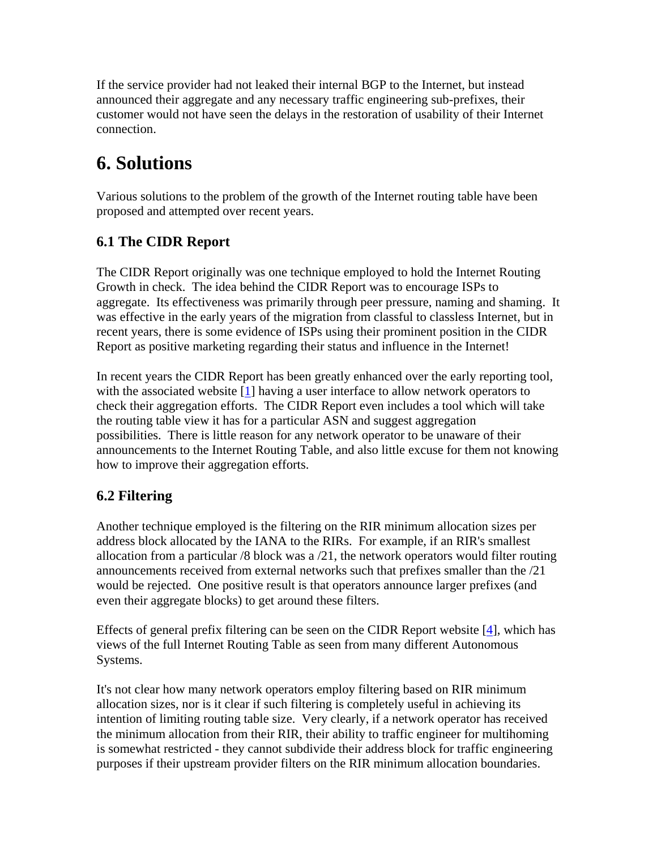If the service provider had not leaked their internal BGP to the Internet, but instead announced their aggregate and any necessary traffic engineering sub-prefixes, their customer would not have seen the delays in the restoration of usability of their Internet connection.

# **6. Solutions**

Various solutions to the problem of the growth of the Internet routing table have been proposed and attempted over recent years.

# **6.1 The CIDR Report**

The CIDR Report originally was one technique employed to hold the Internet Routing Growth in check. The idea behind the CIDR Report was to encourage ISPs to aggregate. Its effectiveness was primarily through peer pressure, naming and shaming. It was effective in the early years of the migration from classful to classless Internet, but in recent years, there is some evidence of ISPs using their prominent position in the CIDR Report as positive marketing regarding their status and influence in the Internet!

In recent years the CIDR Report has been greatly enhanced over the early reporting tool, with the associated website [\[1\]](http://test-www.ripe.net/docs/ripe-399.html#Y1#Y1) having a user interface to allow network operators to check their aggregation efforts. The CIDR Report even includes a tool which will take the routing table view it has for a particular ASN and suggest aggregation possibilities. There is little reason for any network operator to be unaware of their announcements to the Internet Routing Table, and also little excuse for them not knowing how to improve their aggregation efforts.

# **6.2 Filtering**

Another technique employed is the filtering on the RIR minimum allocation sizes per address block allocated by the IANA to the RIRs. For example, if an RIR's smallest allocation from a particular /8 block was a /21, the network operators would filter routing announcements received from external networks such that prefixes smaller than the /21 would be rejected. One positive result is that operators announce larger prefixes (and even their aggregate blocks) to get around these filters.

Effects of general prefix filtering can be seen on the CIDR Report website  $[4]$  $[4]$ , which has views of the full Internet Routing Table as seen from many different Autonomous Systems.

It's not clear how many network operators employ filtering based on RIR minimum allocation sizes, nor is it clear if such filtering is completely useful in achieving its intention of limiting routing table size. Very clearly, if a network operator has received the minimum allocation from their RIR, their ability to traffic engineer for multihoming is somewhat restricted - they cannot subdivide their address block for traffic engineering purposes if their upstream provider filters on the RIR minimum allocation boundaries.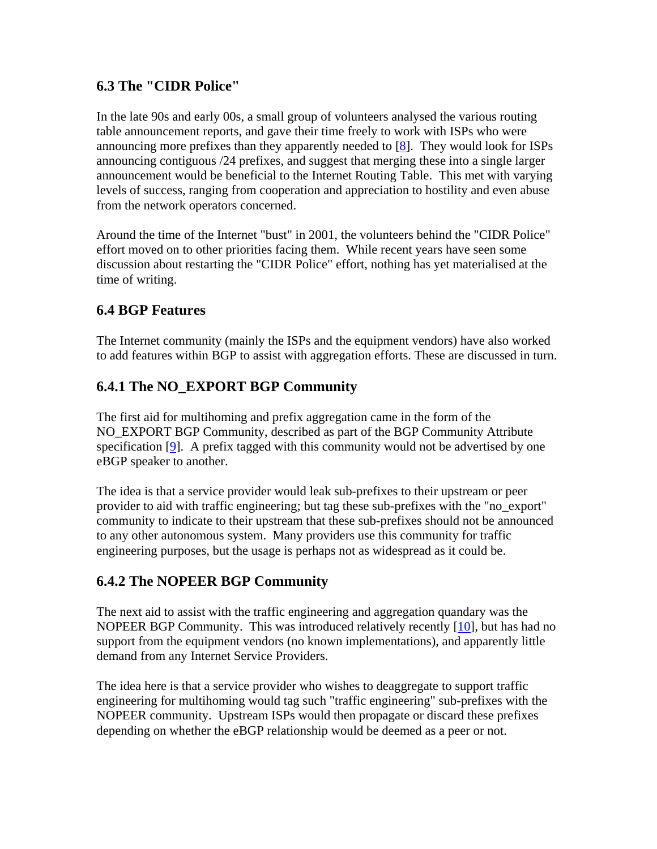### **6.3 The "CIDR Police"**

In the late 90s and early 00s, a small group of volunteers analysed the various routing table announcement reports, and gave their time freely to work with ISPs who were announcing more prefixes than they apparently needed to [\[8](http://test-www.ripe.net/docs/ripe-399.html#Y8#Y8)]. They would look for ISPs announcing contiguous /24 prefixes, and suggest that merging these into a single larger announcement would be beneficial to the Internet Routing Table. This met with varying levels of success, ranging from cooperation and appreciation to hostility and even abuse from the network operators concerned.

Around the time of the Internet "bust" in 2001, the volunteers behind the "CIDR Police" effort moved on to other priorities facing them. While recent years have seen some discussion about restarting the "CIDR Police" effort, nothing has yet materialised at the time of writing.

### **6.4 BGP Features**

The Internet community (mainly the ISPs and the equipment vendors) have also worked to add features within BGP to assist with aggregation efforts. These are discussed in turn.

### **6.4.1 The NO\_EXPORT BGP Community**

The first aid for multihoming and prefix aggregation came in the form of the NO\_EXPORT BGP Community, described as part of the BGP Community Attribute specification [\[9](http://test-www.ripe.net/docs/ripe-399.html#Y9#Y9)]. A prefix tagged with this community would not be advertised by one eBGP speaker to another.

The idea is that a service provider would leak sub-prefixes to their upstream or peer provider to aid with traffic engineering; but tag these sub-prefixes with the "no\_export" community to indicate to their upstream that these sub-prefixes should not be announced to any other autonomous system. Many providers use this community for traffic engineering purposes, but the usage is perhaps not as widespread as it could be.

#### **6.4.2 The NOPEER BGP Community**

The next aid to assist with the traffic engineering and aggregation quandary was the NOPEER BGP Community. This was introduced relatively recently [[10\]](http://test-www.ripe.net/docs/ripe-399.html#Y10#Y10), but has had no support from the equipment vendors (no known implementations), and apparently little demand from any Internet Service Providers.

The idea here is that a service provider who wishes to deaggregate to support traffic engineering for multihoming would tag such "traffic engineering" sub-prefixes with the NOPEER community. Upstream ISPs would then propagate or discard these prefixes depending on whether the eBGP relationship would be deemed as a peer or not.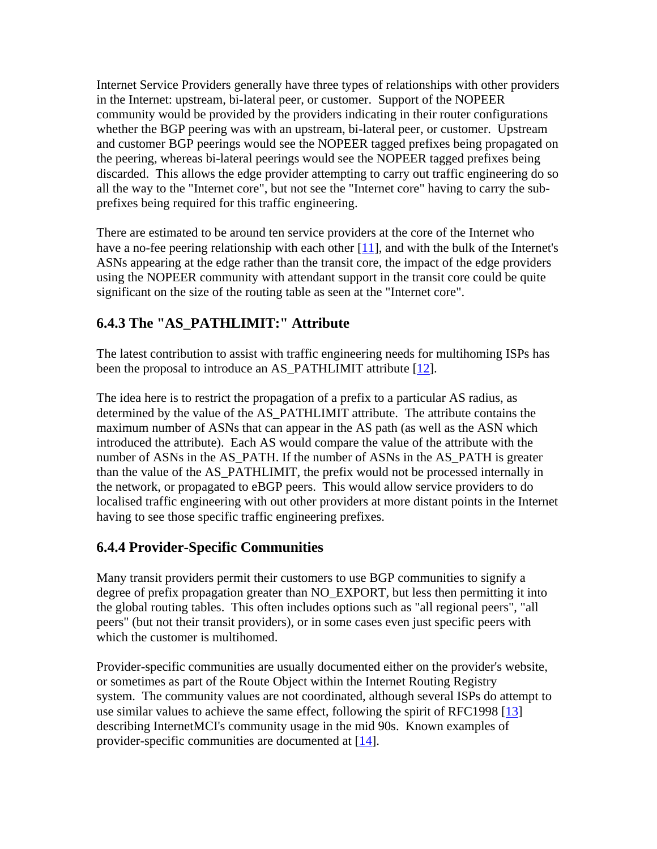Internet Service Providers generally have three types of relationships with other providers in the Internet: upstream, bi-lateral peer, or customer. Support of the NOPEER community would be provided by the providers indicating in their router configurations whether the BGP peering was with an upstream, bi-lateral peer, or customer. Upstream and customer BGP peerings would see the NOPEER tagged prefixes being propagated on the peering, whereas bi-lateral peerings would see the NOPEER tagged prefixes being discarded. This allows the edge provider attempting to carry out traffic engineering do so all the way to the "Internet core", but not see the "Internet core" having to carry the subprefixes being required for this traffic engineering.

There are estimated to be around ten service providers at the core of the Internet who have a no-fee peering relationship with each other  $[11]$  $[11]$ , and with the bulk of the Internet's ASNs appearing at the edge rather than the transit core, the impact of the edge providers using the NOPEER community with attendant support in the transit core could be quite significant on the size of the routing table as seen at the "Internet core".

### **6.4.3 The "AS\_PATHLIMIT:" Attribute**

The latest contribution to assist with traffic engineering needs for multihoming ISPs has been the proposal to introduce an AS\_PATHLIMIT attribute [[12\]](http://test-www.ripe.net/docs/ripe-399.html#Y12#Y12).

The idea here is to restrict the propagation of a prefix to a particular AS radius, as determined by the value of the AS\_PATHLIMIT attribute. The attribute contains the maximum number of ASNs that can appear in the AS path (as well as the ASN which introduced the attribute). Each AS would compare the value of the attribute with the number of ASNs in the AS\_PATH. If the number of ASNs in the AS\_PATH is greater than the value of the AS\_PATHLIMIT, the prefix would not be processed internally in the network, or propagated to eBGP peers. This would allow service providers to do localised traffic engineering with out other providers at more distant points in the Internet having to see those specific traffic engineering prefixes.

### **6.4.4 Provider-Specific Communities**

Many transit providers permit their customers to use BGP communities to signify a degree of prefix propagation greater than NO\_EXPORT, but less then permitting it into the global routing tables. This often includes options such as "all regional peers", "all peers" (but not their transit providers), or in some cases even just specific peers with which the customer is multihomed.

Provider-specific communities are usually documented either on the provider's website, or sometimes as part of the Route Object within the Internet Routing Registry system. The community values are not coordinated, although several ISPs do attempt to use similar values to achieve the same effect, following the spirit of RFC1998  $[13]$  $[13]$ describing InternetMCI's community usage in the mid 90s. Known examples of provider-specific communities are documented at [[14\]](http://test-www.ripe.net/docs/ripe-399.html#Y14#Y14).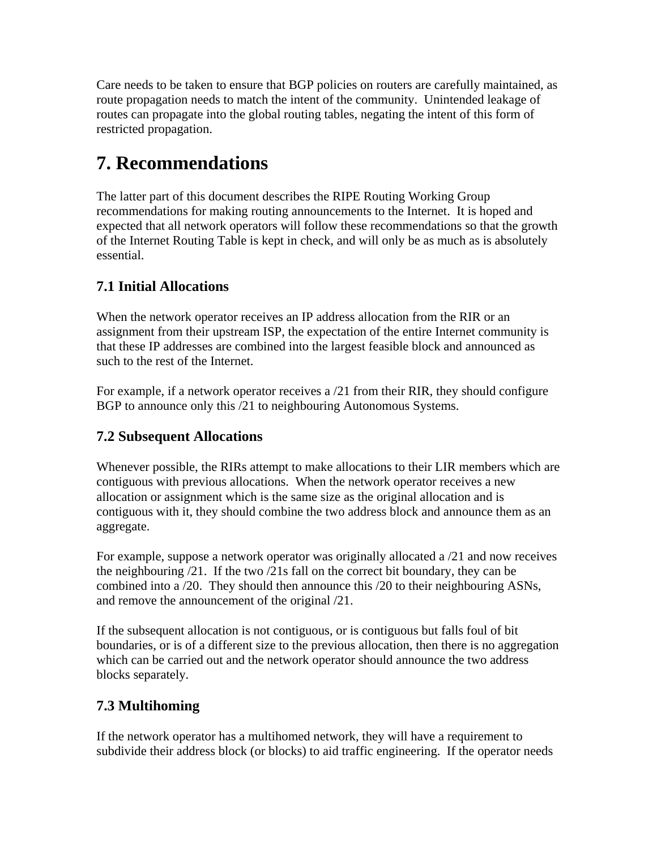Care needs to be taken to ensure that BGP policies on routers are carefully maintained, as route propagation needs to match the intent of the community. Unintended leakage of routes can propagate into the global routing tables, negating the intent of this form of restricted propagation.

# **7. Recommendations**

The latter part of this document describes the RIPE Routing Working Group recommendations for making routing announcements to the Internet. It is hoped and expected that all network operators will follow these recommendations so that the growth of the Internet Routing Table is kept in check, and will only be as much as is absolutely essential.

### **7.1 Initial Allocations**

When the network operator receives an IP address allocation from the RIR or an assignment from their upstream ISP, the expectation of the entire Internet community is that these IP addresses are combined into the largest feasible block and announced as such to the rest of the Internet.

For example, if a network operator receives a /21 from their RIR, they should configure BGP to announce only this /21 to neighbouring Autonomous Systems.

### **7.2 Subsequent Allocations**

Whenever possible, the RIRs attempt to make allocations to their LIR members which are contiguous with previous allocations. When the network operator receives a new allocation or assignment which is the same size as the original allocation and is contiguous with it, they should combine the two address block and announce them as an aggregate.

For example, suppose a network operator was originally allocated a /21 and now receives the neighbouring /21. If the two /21s fall on the correct bit boundary, they can be combined into a /20. They should then announce this /20 to their neighbouring ASNs, and remove the announcement of the original /21.

If the subsequent allocation is not contiguous, or is contiguous but falls foul of bit boundaries, or is of a different size to the previous allocation, then there is no aggregation which can be carried out and the network operator should announce the two address blocks separately.

### **7.3 Multihoming**

If the network operator has a multihomed network, they will have a requirement to subdivide their address block (or blocks) to aid traffic engineering. If the operator needs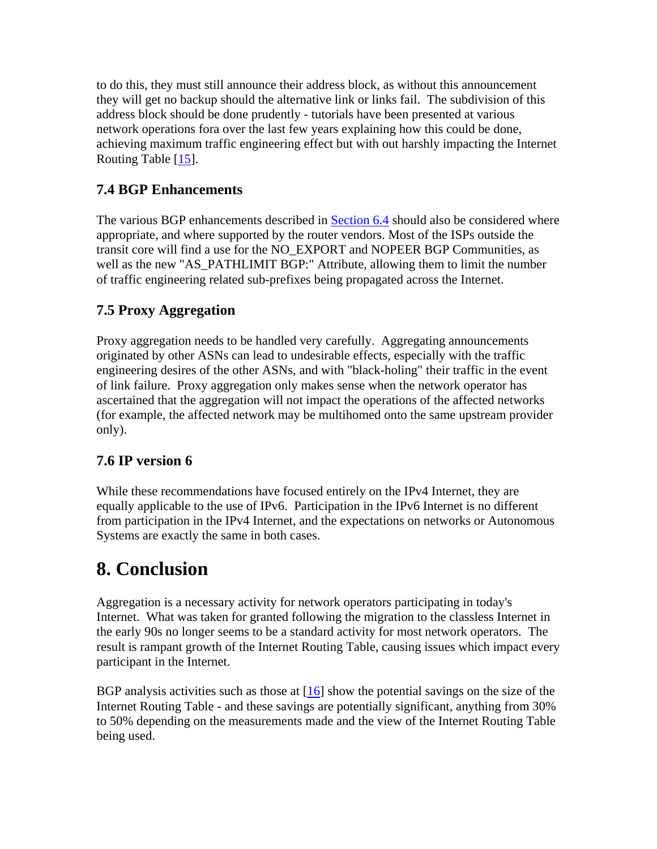to do this, they must still announce their address block, as without this announcement they will get no backup should the alternative link or links fail. The subdivision of this address block should be done prudently - tutorials have been presented at various network operations fora over the last few years explaining how this could be done, achieving maximum traffic engineering effect but with out harshly impacting the Internet Routing Table  $[15]$ .

### **7.4 BGP Enhancements**

The various BGP enhancements described in [Section 6.4](http://test-www.ripe.net/docs/ripe-399.html#64#64) should also be considered where appropriate, and where supported by the router vendors. Most of the ISPs outside the transit core will find a use for the NO\_EXPORT and NOPEER BGP Communities, as well as the new "AS\_PATHLIMIT BGP:" Attribute, allowing them to limit the number of traffic engineering related sub-prefixes being propagated across the Internet.

### **7.5 Proxy Aggregation**

Proxy aggregation needs to be handled very carefully. Aggregating announcements originated by other ASNs can lead to undesirable effects, especially with the traffic engineering desires of the other ASNs, and with "black-holing" their traffic in the event of link failure. Proxy aggregation only makes sense when the network operator has ascertained that the aggregation will not impact the operations of the affected networks (for example, the affected network may be multihomed onto the same upstream provider only).

### **7.6 IP version 6**

While these recommendations have focused entirely on the IPv4 Internet, they are equally applicable to the use of IPv6. Participation in the IPv6 Internet is no different from participation in the IPv4 Internet, and the expectations on networks or Autonomous Systems are exactly the same in both cases.

# **8. Conclusion**

Aggregation is a necessary activity for network operators participating in today's Internet. What was taken for granted following the migration to the classless Internet in the early 90s no longer seems to be a standard activity for most network operators. The result is rampant growth of the Internet Routing Table, causing issues which impact every participant in the Internet.

BGP analysis activities such as those at  $[16]$  $[16]$  show the potential savings on the size of the Internet Routing Table - and these savings are potentially significant, anything from 30% to 50% depending on the measurements made and the view of the Internet Routing Table being used.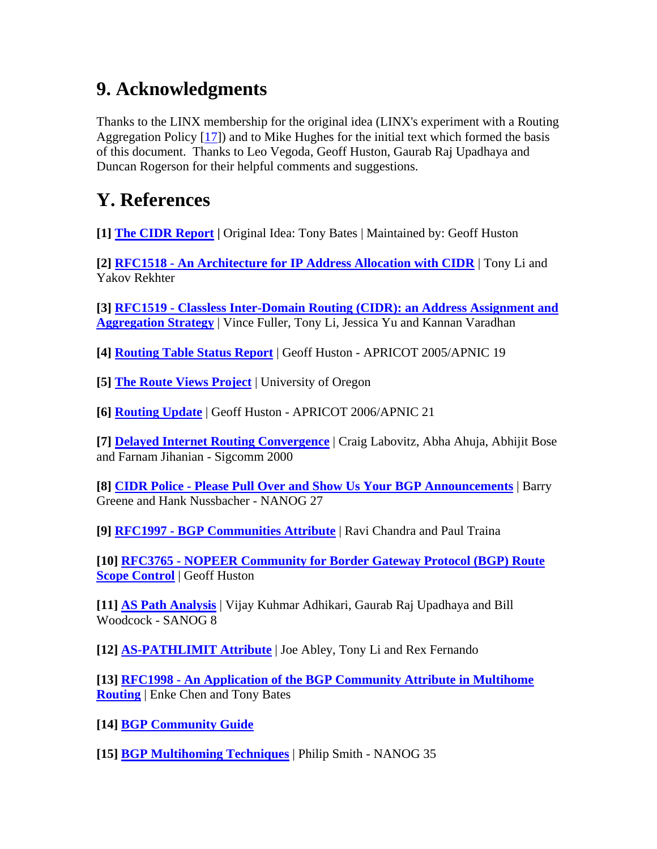# **9. Acknowledgments**

Thanks to the LINX membership for the original idea (LINX's experiment with a Routing Aggregation Policy [[17\]](http://test-www.ripe.net/docs/ripe-399.html#17#17)) and to Mike Hughes for the initial text which formed the basis of this document. Thanks to Leo Vegoda, Geoff Huston, Gaurab Raj Upadhaya and Duncan Rogerson for their helpful comments and suggestions.

# **Y. References**

**[1] [The CIDR Report](http://www.cidr-report.org/) |** Original Idea: Tony Bates | Maintained by: Geoff Huston

**[2] [RFC1518 - An Architecture for IP Address Allocation with CIDR](http://www.rfc-editor.org/rfc/rfc1518.txt)** | Tony Li and Yakov Rekhter

**[3] [RFC1519 - Classless Inter-Domain Routing \(CIDR\): an Address Assignment and](http://www.rfc-editor.org/rfc/rfc1519.txt)  [Aggregation Strategy](http://www.rfc-editor.org/rfc/rfc1519.txt)** | Vince Fuller, Tony Li, Jessica Yu and Kannan Varadhan

**[4] [Routing Table Status Report](http://www.apnic.net/meetings/19/docs/sigs/routing/routing-pres-huston-routing-table.pdf)** | Geoff Huston - APRICOT 2005/APNIC 19

**[5] [The Route Views Project](http://www.routeviews.org/)** | University of Oregon

**[6] [Routing Update](http://www.apnic.net/meetings/21/docs/sigs/routing/routing-pres-huston-routing-update.pdf)** | Geoff Huston - APRICOT 2006/APNIC 21

**[7] [Delayed Internet Routing Convergence](http://www.acm.org/sigs/sigcomm/sigcomm2000/conf/paper/sigcomm2000-5-2.pdf)** | Craig Labovitz, Abha Ahuja, Abhijit Bose and Farnam Jihanian - Sigcomm 2000

**[8] [CIDR Police - Please Pull Over and Show Us Your BGP Announcements](http://www.nanog.org/mtg-0302/pdf/cidr.pdf)** | Barry Greene and Hank Nussbacher - NANOG 27

**[9] [RFC1997 - BGP Communities Attribute](http://www.rfc-editor.org/rfc/rfc1997.txt)** | Ravi Chandra and Paul Traina

**[10] [RFC3765 - NOPEER Community for Border Gateway Protocol \(BGP\) Route](http://www.rfc-editor.org/rfc/rfc3765.txt)  [Scope Control](http://www.rfc-editor.org/rfc/rfc3765.txt)** | Geoff Huston

**[11] [AS Path Analysis](http://www.sanog.org/sanog8/presentations/sanog8-aspath-analysis-vijay.pdf)** | Vijay Kuhmar Adhikari, Gaurab Raj Upadhaya and Bill Woodcock - SANOG 8

**[12] [AS-PATHLIMIT Attribute](http://www.ietf.org/internet-drafts/draft-ietf-idr-as-pathlimit-02.txt)** | Joe Abley, Tony Li and Rex Fernando

**[13] [RFC1998 - An Application of the BGP Community Attribute in Multihome](http://www.rfc-editor.org/rfc/rfc1998.txt)  [Routing](http://www.rfc-editor.org/rfc/rfc1998.txt)** | Enke Chen and Tony Bates

**[14] [BGP Community Guide](http://www.onesc.net/communities/)**

**[15] [BGP Multihoming Techniques](http://www.nanog.org/mtg-0510/pdf/smith.pdf)** | Philip Smith - NANOG 35